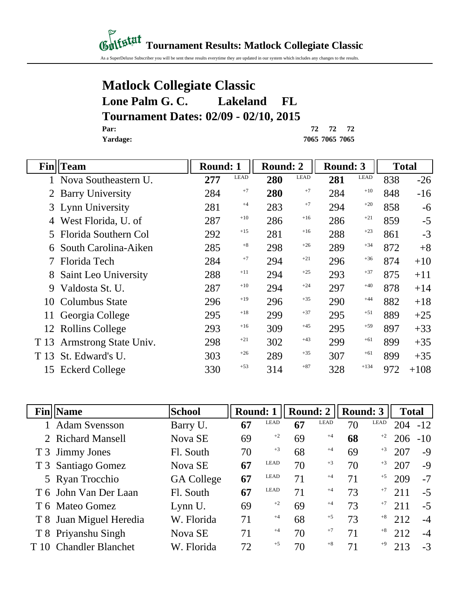#### *Gulfstat* Tournament Results: Matlock Collegiate Classic

As a SuperDeluxe Subscriber you will be sent these results everytime they are updated in our system which includes any changes to the results.

#### **Matlock Collegiate Classic Lone Palm G. C. Lakeland FL Tournament Dates: 02/09 - 02/10, 2015 Par: 72 72 72**

**Yardage: 7065 7065 7065**

| Fin  | Team                    | Round: 1 |             | Round: 2 |             | <b>Round: 3</b> |             | <b>Total</b> |        |
|------|-------------------------|----------|-------------|----------|-------------|-----------------|-------------|--------------|--------|
|      | 1 Nova Southeastern U.  | 277      | <b>LEAD</b> | 280      | <b>LEAD</b> | 281             | <b>LEAD</b> | 838          | $-26$  |
|      | <b>Barry University</b> | 284      | $+7$        | 280      | $+7$        | 284             | $+10$       | 848          | $-16$  |
|      | 3 Lynn University       | 281      | $+4$        | 283      | $+7$        | 294             | $+20$       | 858          | $-6$   |
|      | West Florida, U. of     | 287      | $+10$       | 286      | $+16$       | 286             | $+21$       | 859          | $-5$   |
| 5.   | Florida Southern Col    | 292      | $+15$       | 281      | $+16$       | 288             | $+23$       | 861          | $-3$   |
|      | South Carolina-Aiken    | 285      | $+8$        | 298      | $+26$       | 289             | $+34$       | 872          | $+8$   |
|      | Florida Tech            | 284      | $+7$        | 294      | $+21$       | 296             | $+36$       | 874          | $+10$  |
|      | Saint Leo University    | 288      | $+11$       | 294      | $+25$       | 293             | $+37$       | 875          | $+11$  |
| 9    | Valdosta St. U.         | 287      | $+10$       | 294      | $+24$       | 297             | $+40$       | 878          | $+14$  |
| 10   | Columbus State          | 296      | $+19$       | 296      | $+35$       | 290             | $+44$       | 882          | $+18$  |
| 11   | Georgia College         | 295      | $+18$       | 299      | $+37$       | 295             | $+51$       | 889          | $+25$  |
|      | 12 Rollins College      | 293      | $+16$       | 309      | $+45$       | 295             | $+59$       | 897          | $+33$  |
| T 13 | Armstrong State Univ.   | 298      | $+21$       | 302      | $+43$       | 299             | $+61$       | 899          | $+35$  |
| T 13 | St. Edward's U.         | 303      | $+26$       | 289      | $+35$       | 307             | $+61$       | 899          | $+35$  |
| 15   | <b>Eckerd College</b>   | 330      | $+53$       | 314      | $+87$       | 328             | $+134$      | 972          | $+108$ |

|      | <b>Fin</b>   Name        | School            | <b>Round: 1</b> |             | Round: 2 |             | Round: 3 |      | <b>Total</b> |      |
|------|--------------------------|-------------------|-----------------|-------------|----------|-------------|----------|------|--------------|------|
|      | 1 Adam Svensson          | Barry U.          | 67              | <b>LEAD</b> | 67       | <b>LEAD</b> | 70       | LEAD | $204 - 12$   |      |
|      | 2 Richard Mansell        | Nova SE           | 69              | $+2$        | 69       | $+4$        | 68       | $+2$ | $206 - 10$   |      |
|      | T 3 Jimmy Jones          | Fl. South         | 70              | $+3$        | 68       | $+4$        | 69       | $+3$ | 207          | $-9$ |
|      | T 3 Santiago Gomez       | Nova SE           | 67              | LEAD        | 70       | $+3$        | 70       | $+3$ | 207          | $-9$ |
|      | 5 Ryan Trocchio          | <b>GA College</b> | 67              | LEAD        | 71       | $+4$        | 71       | $+5$ | 209          | $-7$ |
|      | T 6 John Van Der Laan    | Fl. South         | 67              | LEAD        | 71       | $+4$        | 73       | $+7$ | 211          | $-5$ |
|      | T 6 Mateo Gomez          | Lynn U.           | 69              | $+2$        | 69       | $+4$        | 73       | $+7$ | 211          | $-5$ |
|      | T 8 Juan Miguel Heredia  | W. Florida        | 71              | $+4$        | 68       | $+5$        | 73       | $+8$ | 212          | $-4$ |
|      | T 8 Priyanshu Singh      | Nova SE           | 71              | $+4$        | 70       | $+7$        | 71       | $+8$ | 212          | $-4$ |
| T 10 | <b>Chandler Blanchet</b> | W. Florida        | 72              | $+5$        | 70       | $+8$        | 71       | $+9$ | 213          | $-3$ |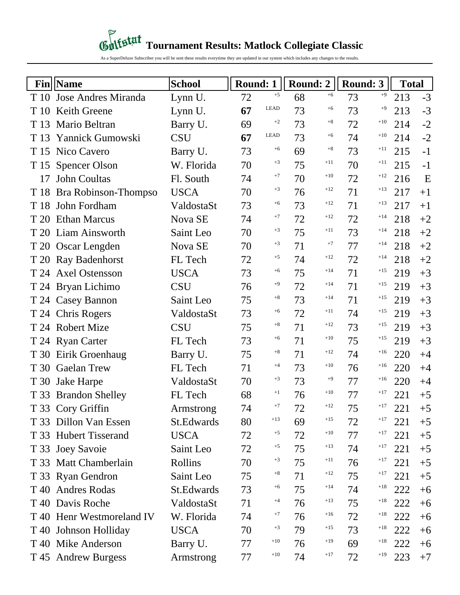## *Contestat* Tournament Results: Matlock Collegiate Classic

As a SuperDeluxe Subscriber you will be sent these results everytime they are updated in our system which includes any changes to the results.

|      | <b>Fin</b>   Name         | <b>School</b> | <b>Round: 1</b> |             |    | Round: $2 \mid$ | <b>Round: 3</b> |       | <b>Total</b> |      |
|------|---------------------------|---------------|-----------------|-------------|----|-----------------|-----------------|-------|--------------|------|
|      | T 10 Jose Andres Miranda  | Lynn U.       | 72              | $+5$        | 68 | $+6$            | 73              | $+9$  | 213          | $-3$ |
| T 10 | <b>Keith Greene</b>       | Lynn U.       | 67              | <b>LEAD</b> | 73 | $+6$            | 73              | $+9$  | 213          | $-3$ |
| T 13 | Mario Beltran             | Barry U.      | 69              | $+2$        | 73 | $+8$            | 72              | $+10$ | 214          | $-2$ |
| T 13 | Yannick Gumowski          | <b>CSU</b>    | 67              | <b>LEAD</b> | 73 | $+6$            | 74              | $+10$ | 214          | $-2$ |
|      | T 15 Nico Cavero          | Barry U.      | 73              | $+6$        | 69 | $+8$            | 73              | $+11$ | 215          | $-1$ |
|      | T 15 Spencer Olson        | W. Florida    | 70              | $+3$        | 75 | $+11$           | 70              | $+11$ | 215          | $-1$ |
| 17   | <b>John Coultas</b>       | Fl. South     | 74              | $+7$        | 70 | $+10$           | 72              | $+12$ | 216          | E    |
|      | T 18 Bra Robinson-Thompso | <b>USCA</b>   | 70              | $+3$        | 76 | $+12$           | 71              | $+13$ | 217          | $+1$ |
| T 18 | John Fordham              | ValdostaSt    | 73              | $+6$        | 73 | $+12$           | 71              | $+13$ | 217          | $+1$ |
|      | T 20 Ethan Marcus         | Nova SE       | 74              | $+7$        | 72 | $+12$           | 72              | $+14$ | 218          | $+2$ |
|      | T 20 Liam Ainsworth       | Saint Leo     | 70              | $+3$        | 75 | $+11$           | 73              | $+14$ | 218          | $+2$ |
|      | T 20 Oscar Lengden        | Nova SE       | 70              | $+3$        | 71 | $+7$            | 77              | $+14$ | 218          | $+2$ |
|      | T 20 Ray Badenhorst       | FL Tech       | 72              | $+5$        | 74 | $+12$           | 72              | $+14$ | 218          | $+2$ |
|      | T 24 Axel Ostensson       | <b>USCA</b>   | 73              | $+6$        | 75 | $+14$           | 71              | $+15$ | 219          | $+3$ |
|      | T 24 Bryan Lichimo        | <b>CSU</b>    | 76              | $+9$        | 72 | $+14$           | 71              | $+15$ | 219          | $+3$ |
|      | T 24 Casey Bannon         | Saint Leo     | 75              | $+8$        | 73 | $+14$           | 71              | $+15$ | 219          | $+3$ |
|      | T 24 Chris Rogers         | ValdostaSt    | 73              | $+6$        | 72 | $+11$           | 74              | $+15$ | 219          | $+3$ |
|      | T 24 Robert Mize          | <b>CSU</b>    | 75              | $+8$        | 71 | $+12$           | 73              | $+15$ | 219          | $+3$ |
|      | T 24 Ryan Carter          | FL Tech       | 73              | $+6$        | 71 | $+10$           | 75              | $+15$ | 219          | $+3$ |
|      | T 30 Eirik Groenhaug      | Barry U.      | 75              | $+8$        | 71 | $+12$           | 74              | $+16$ | 220          | $+4$ |
|      | T 30 Gaelan Trew          | FL Tech       | 71              | $+4$        | 73 | $+10$           | 76              | $+16$ | 220          | $+4$ |
|      | T 30 Jake Harpe           | ValdostaSt    | 70              | $+3$        | 73 | $+9$            | 77              | $+16$ | 220          | $+4$ |
|      | T 33 Brandon Shelley      | FL Tech       | 68              | $+1$        | 76 | $+10$           | 77              | $+17$ | 221          | $+5$ |
|      | T 33 Cory Griffin         | Armstrong     | 74              | $+7$        | 72 | $+12$           | 75              | $+17$ | 221          | $+5$ |
|      | T 33 Dillon Van Essen     | St.Edwards    | 80              | $+13$       | 69 | $+15$           | 72              | $+17$ | 221          | $+5$ |
|      | T 33 Hubert Tisserand     | <b>USCA</b>   | 72              | $+5$        | 72 | $+10$           | 77              | $+17$ | 221          | $+5$ |
|      | T 33 Joey Savoie          | Saint Leo     | 72              | $+5$        | 75 | $+13$           | 74              | $+17$ | 221          | $+5$ |
|      | T 33 Matt Chamberlain     | Rollins       | 70              | $+3$        | 75 | $+11$           | 76              | $+17$ | 221          | $+5$ |
|      | T 33 Ryan Gendron         | Saint Leo     | 75              | $+8$        | 71 | $+12$           | 75              | $+17$ | 221          | $+5$ |
|      | T 40 Andres Rodas         | St. Edwards   | 73              | $+6$        | 75 | $+14$           | 74              | $+18$ | 222          | $+6$ |
|      | T 40 Davis Roche          | ValdostaSt    | 71              | $+4$        | 76 | $+13$           | 75              | $+18$ | 222          | $+6$ |
|      | T 40 Henr Westmoreland IV | W. Florida    | 74              | $+7$        | 76 | $+16$           | 72              | $+18$ | 222          | $+6$ |
|      | T 40 Johnson Holliday     | <b>USCA</b>   | 70              | $+3$        | 79 | $+15$           | 73              | $+18$ | 222          | $+6$ |
|      | T 40 Mike Anderson        | Barry U.      | 77              | $+10$       | 76 | $+19$           | 69              | $+18$ | 222          | $+6$ |
|      | T 45 Andrew Burgess       | Armstrong     | 77              | $+10$       | 74 | $+17$           | 72              | $+19$ | 223          | $+7$ |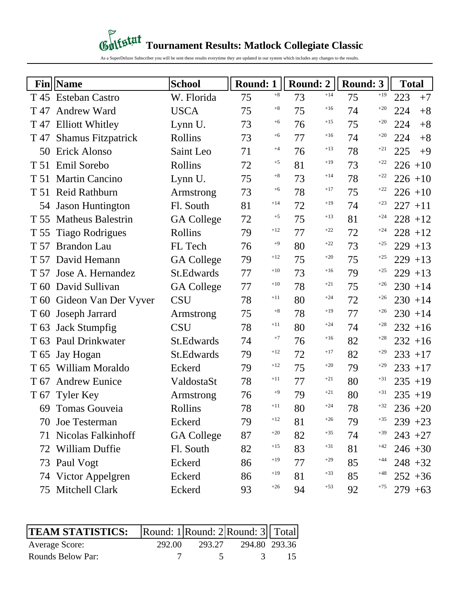# *Content* **Tournament Results: Matlock Collegiate Classic**

As a SuperDeluxe Subscriber you will be sent these results everytime they are updated in our system which includes any changes to the results.

|                 | <b>Fin</b>   Name         | <b>School</b>     | <b>Round: 1</b> |       | <b>Round: 2</b> |       | Round: 3 |       | <b>Total</b> |
|-----------------|---------------------------|-------------------|-----------------|-------|-----------------|-------|----------|-------|--------------|
|                 | T 45 Esteban Castro       | W. Florida        | 75              | $+8$  | 73              | $+14$ | 75       | $+19$ | 223<br>$+7$  |
| T 47            | <b>Andrew Ward</b>        | <b>USCA</b>       | 75              | $+8$  | 75              | $+16$ | 74       | $+20$ | $+8$<br>224  |
|                 | T 47 Elliott Whitley      | Lynn U.           | 73              | $+6$  | 76              | $+15$ | 75       | $+20$ | $+8$<br>224  |
| T 47            | <b>Shamus Fitzpatrick</b> | Rollins           | 73              | $+6$  | 77              | $+16$ | 74       | $+20$ | $+8$<br>224  |
| 50              | <b>Erick Alonso</b>       | Saint Leo         | 71              | $+4$  | 76              | $+13$ | 78       | $+21$ | 225<br>$+9$  |
| T 51            | Emil Sorebo               | Rollins           | 72              | $+5$  | 81              | $+19$ | 73       | $+22$ | $226 + 10$   |
| T 51            | <b>Martin Cancino</b>     | Lynn U.           | 75              | $+8$  | 73              | $+14$ | 78       | $+22$ | $226 + 10$   |
| T 51            | <b>Reid Rathburn</b>      | Armstrong         | 73              | $+6$  | 78              | $+17$ | 75       | $+22$ | $226 + 10$   |
|                 | 54 Jason Huntington       | Fl. South         | 81              | $+14$ | 72              | $+19$ | 74       | $+23$ | $227 + 11$   |
| T 55            | <b>Matheus Balestrin</b>  | <b>GA College</b> | 72              | $+5$  | 75              | $+13$ | 81       | $+24$ | $228 + 12$   |
| T 55            | <b>Tiago Rodrigues</b>    | Rollins           | 79              | $+12$ | 77              | $+22$ | 72       | $+24$ | $228 + 12$   |
| T 57            | <b>Brandon Lau</b>        | FL Tech           | 76              | $+9$  | 80              | $+22$ | 73       | $+25$ | $229 + 13$   |
|                 | T 57 David Hemann         | <b>GA College</b> | 79              | $+12$ | 75              | $+20$ | 75       | $+25$ | $229 + 13$   |
| T 57            | Jose A. Hernandez         | St.Edwards        | 77              | $+10$ | 73              | $+16$ | 79       | $+25$ | $229 + 13$   |
|                 | T 60 David Sullivan       | <b>GA College</b> | 77              | $+10$ | 78              | $+21$ | 75       | $+26$ | $230 + 14$   |
|                 | T 60 Gideon Van Der Vyver | <b>CSU</b>        | 78              | $+11$ | 80              | $+24$ | 72       | $+26$ | $230 + 14$   |
| T 60            | Joseph Jarrard            | Armstrong         | 75              | $+8$  | 78              | $+19$ | 77       | $+26$ | $230 + 14$   |
| T <sub>63</sub> | <b>Jack Stumpfig</b>      | <b>CSU</b>        | 78              | $+11$ | 80              | $+24$ | 74       | $+28$ | $232 + 16$   |
| T 63            | <b>Paul Drinkwater</b>    | St.Edwards        | 74              | $+7$  | 76              | $+16$ | 82       | $+28$ | $232 + 16$   |
| T 65            | Jay Hogan                 | St.Edwards        | 79              | $+12$ | 72              | $+17$ | 82       | $+29$ | $233 + 17$   |
| T 65            | William Moraldo           | Eckerd            | 79              | $+12$ | 75              | $+20$ | 79       | $+29$ | $233 + 17$   |
| T 67            | <b>Andrew Eunice</b>      | ValdostaSt        | 78              | $+11$ | 77              | $+21$ | 80       | $+31$ | $235 + 19$   |
|                 | T 67 Tyler Key            | Armstrong         | 76              | $+9$  | 79              | $+21$ | 80       | $+31$ | $235 + 19$   |
|                 | 69 Tomas Gouveia          | Rollins           | 78              | $+11$ | 80              | $+24$ | 78       | $+32$ | $236 + 20$   |
|                 | 70 Joe Testerman          | Eckerd            | 79              | $+12$ | 81              | $+26$ | 79       | $+35$ | $239 + 23$   |
|                 | 71 Nicolas Falkinhoff     | <b>GA College</b> | 87              | $+20$ | 82              | $+35$ | 74       | $+39$ | $243 + 27$   |
|                 | 72 William Duffie         | Fl. South         | 82              | $+15$ | 83              | $+31$ | 81       | $+42$ | $246 + 30$   |
|                 | 73 Paul Vogt              | Eckerd            | 86              | $+19$ | 77              | $+29$ | 85       | $+44$ | $248 + 32$   |
|                 | 74 Victor Appelgren       | Eckerd            | 86              | $+19$ | 81              | $+33$ | 85       | $+48$ | $252 + 36$   |
|                 | 75 Mitchell Clark         | Eckerd            | 93              | $+26$ | 94              | $+53$ | 92       | $+75$ | $279 + 63$   |

| <b>TEAM STATISTICS:</b> Round: 1 Round: 2 Round: 3 Total |        |        |               |  |
|----------------------------------------------------------|--------|--------|---------------|--|
| Average Score:                                           | 292.00 | 293.27 | 294.80 293.36 |  |
| Rounds Below Par:                                        |        |        |               |  |